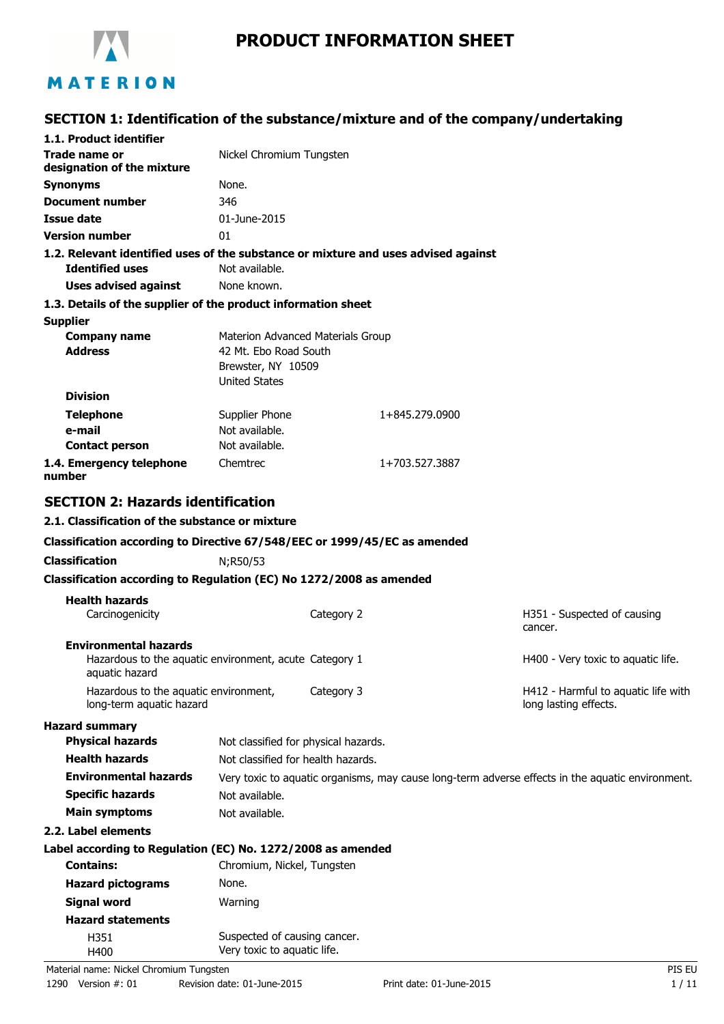

# **PRODUCT INFORMATION SHEET**

## **SECTION 1: Identification of the substance/mixture and of the company/undertaking**

| 1.1. Product identifier<br>Trade name or<br>Nickel Chromium Tungsten<br>designation of the mixture<br>None.<br><b>Synonyms</b><br>346<br>Document number<br>01-June-2015<br>Issue date<br><b>Version number</b><br>01<br>1.2. Relevant identified uses of the substance or mixture and uses advised against<br>Not available.<br><b>Identified uses</b><br><b>Uses advised against</b><br>None known.<br>1.3. Details of the supplier of the product information sheet<br><b>Supplier</b><br><b>Company name</b><br>Materion Advanced Materials Group<br><b>Address</b><br>42 Mt. Ebo Road South<br>Brewster, NY 10509<br><b>United States</b><br><b>Division</b><br><b>Telephone</b><br>Supplier Phone<br>1+845.279.0900<br>Not available.<br>e-mail<br>Not available.<br><b>Contact person</b><br>1.4. Emergency telephone<br>Chemtrec<br>1+703.527.3887<br>number<br><b>SECTION 2: Hazards identification</b><br>2.1. Classification of the substance or mixture<br>Classification according to Directive 67/548/EEC or 1999/45/EC as amended<br><b>Classification</b><br>N;R50/53<br>Classification according to Regulation (EC) No 1272/2008 as amended<br><b>Health hazards</b><br>Category 2<br>Carcinogenicity<br>H351 - Suspected of causing<br>cancer.<br><b>Environmental hazards</b><br>Hazardous to the aquatic environment, acute Category 1<br>H400 - Very toxic to aquatic life.<br>aquatic hazard<br>Category 3<br>Hazardous to the aquatic environment,<br>H412 - Harmful to aquatic life with<br>long-term aquatic hazard<br>long lasting effects.<br><b>Hazard summary</b> |
|------------------------------------------------------------------------------------------------------------------------------------------------------------------------------------------------------------------------------------------------------------------------------------------------------------------------------------------------------------------------------------------------------------------------------------------------------------------------------------------------------------------------------------------------------------------------------------------------------------------------------------------------------------------------------------------------------------------------------------------------------------------------------------------------------------------------------------------------------------------------------------------------------------------------------------------------------------------------------------------------------------------------------------------------------------------------------------------------------------------------------------------------------------------------------------------------------------------------------------------------------------------------------------------------------------------------------------------------------------------------------------------------------------------------------------------------------------------------------------------------------------------------------------------------------------------------------------------------|
|                                                                                                                                                                                                                                                                                                                                                                                                                                                                                                                                                                                                                                                                                                                                                                                                                                                                                                                                                                                                                                                                                                                                                                                                                                                                                                                                                                                                                                                                                                                                                                                                |
|                                                                                                                                                                                                                                                                                                                                                                                                                                                                                                                                                                                                                                                                                                                                                                                                                                                                                                                                                                                                                                                                                                                                                                                                                                                                                                                                                                                                                                                                                                                                                                                                |
|                                                                                                                                                                                                                                                                                                                                                                                                                                                                                                                                                                                                                                                                                                                                                                                                                                                                                                                                                                                                                                                                                                                                                                                                                                                                                                                                                                                                                                                                                                                                                                                                |
|                                                                                                                                                                                                                                                                                                                                                                                                                                                                                                                                                                                                                                                                                                                                                                                                                                                                                                                                                                                                                                                                                                                                                                                                                                                                                                                                                                                                                                                                                                                                                                                                |
|                                                                                                                                                                                                                                                                                                                                                                                                                                                                                                                                                                                                                                                                                                                                                                                                                                                                                                                                                                                                                                                                                                                                                                                                                                                                                                                                                                                                                                                                                                                                                                                                |
|                                                                                                                                                                                                                                                                                                                                                                                                                                                                                                                                                                                                                                                                                                                                                                                                                                                                                                                                                                                                                                                                                                                                                                                                                                                                                                                                                                                                                                                                                                                                                                                                |
|                                                                                                                                                                                                                                                                                                                                                                                                                                                                                                                                                                                                                                                                                                                                                                                                                                                                                                                                                                                                                                                                                                                                                                                                                                                                                                                                                                                                                                                                                                                                                                                                |
|                                                                                                                                                                                                                                                                                                                                                                                                                                                                                                                                                                                                                                                                                                                                                                                                                                                                                                                                                                                                                                                                                                                                                                                                                                                                                                                                                                                                                                                                                                                                                                                                |
|                                                                                                                                                                                                                                                                                                                                                                                                                                                                                                                                                                                                                                                                                                                                                                                                                                                                                                                                                                                                                                                                                                                                                                                                                                                                                                                                                                                                                                                                                                                                                                                                |
|                                                                                                                                                                                                                                                                                                                                                                                                                                                                                                                                                                                                                                                                                                                                                                                                                                                                                                                                                                                                                                                                                                                                                                                                                                                                                                                                                                                                                                                                                                                                                                                                |
|                                                                                                                                                                                                                                                                                                                                                                                                                                                                                                                                                                                                                                                                                                                                                                                                                                                                                                                                                                                                                                                                                                                                                                                                                                                                                                                                                                                                                                                                                                                                                                                                |
|                                                                                                                                                                                                                                                                                                                                                                                                                                                                                                                                                                                                                                                                                                                                                                                                                                                                                                                                                                                                                                                                                                                                                                                                                                                                                                                                                                                                                                                                                                                                                                                                |
|                                                                                                                                                                                                                                                                                                                                                                                                                                                                                                                                                                                                                                                                                                                                                                                                                                                                                                                                                                                                                                                                                                                                                                                                                                                                                                                                                                                                                                                                                                                                                                                                |
|                                                                                                                                                                                                                                                                                                                                                                                                                                                                                                                                                                                                                                                                                                                                                                                                                                                                                                                                                                                                                                                                                                                                                                                                                                                                                                                                                                                                                                                                                                                                                                                                |
|                                                                                                                                                                                                                                                                                                                                                                                                                                                                                                                                                                                                                                                                                                                                                                                                                                                                                                                                                                                                                                                                                                                                                                                                                                                                                                                                                                                                                                                                                                                                                                                                |
|                                                                                                                                                                                                                                                                                                                                                                                                                                                                                                                                                                                                                                                                                                                                                                                                                                                                                                                                                                                                                                                                                                                                                                                                                                                                                                                                                                                                                                                                                                                                                                                                |
|                                                                                                                                                                                                                                                                                                                                                                                                                                                                                                                                                                                                                                                                                                                                                                                                                                                                                                                                                                                                                                                                                                                                                                                                                                                                                                                                                                                                                                                                                                                                                                                                |
|                                                                                                                                                                                                                                                                                                                                                                                                                                                                                                                                                                                                                                                                                                                                                                                                                                                                                                                                                                                                                                                                                                                                                                                                                                                                                                                                                                                                                                                                                                                                                                                                |
|                                                                                                                                                                                                                                                                                                                                                                                                                                                                                                                                                                                                                                                                                                                                                                                                                                                                                                                                                                                                                                                                                                                                                                                                                                                                                                                                                                                                                                                                                                                                                                                                |
|                                                                                                                                                                                                                                                                                                                                                                                                                                                                                                                                                                                                                                                                                                                                                                                                                                                                                                                                                                                                                                                                                                                                                                                                                                                                                                                                                                                                                                                                                                                                                                                                |
|                                                                                                                                                                                                                                                                                                                                                                                                                                                                                                                                                                                                                                                                                                                                                                                                                                                                                                                                                                                                                                                                                                                                                                                                                                                                                                                                                                                                                                                                                                                                                                                                |
|                                                                                                                                                                                                                                                                                                                                                                                                                                                                                                                                                                                                                                                                                                                                                                                                                                                                                                                                                                                                                                                                                                                                                                                                                                                                                                                                                                                                                                                                                                                                                                                                |
|                                                                                                                                                                                                                                                                                                                                                                                                                                                                                                                                                                                                                                                                                                                                                                                                                                                                                                                                                                                                                                                                                                                                                                                                                                                                                                                                                                                                                                                                                                                                                                                                |
|                                                                                                                                                                                                                                                                                                                                                                                                                                                                                                                                                                                                                                                                                                                                                                                                                                                                                                                                                                                                                                                                                                                                                                                                                                                                                                                                                                                                                                                                                                                                                                                                |
|                                                                                                                                                                                                                                                                                                                                                                                                                                                                                                                                                                                                                                                                                                                                                                                                                                                                                                                                                                                                                                                                                                                                                                                                                                                                                                                                                                                                                                                                                                                                                                                                |
|                                                                                                                                                                                                                                                                                                                                                                                                                                                                                                                                                                                                                                                                                                                                                                                                                                                                                                                                                                                                                                                                                                                                                                                                                                                                                                                                                                                                                                                                                                                                                                                                |
|                                                                                                                                                                                                                                                                                                                                                                                                                                                                                                                                                                                                                                                                                                                                                                                                                                                                                                                                                                                                                                                                                                                                                                                                                                                                                                                                                                                                                                                                                                                                                                                                |
|                                                                                                                                                                                                                                                                                                                                                                                                                                                                                                                                                                                                                                                                                                                                                                                                                                                                                                                                                                                                                                                                                                                                                                                                                                                                                                                                                                                                                                                                                                                                                                                                |
|                                                                                                                                                                                                                                                                                                                                                                                                                                                                                                                                                                                                                                                                                                                                                                                                                                                                                                                                                                                                                                                                                                                                                                                                                                                                                                                                                                                                                                                                                                                                                                                                |
|                                                                                                                                                                                                                                                                                                                                                                                                                                                                                                                                                                                                                                                                                                                                                                                                                                                                                                                                                                                                                                                                                                                                                                                                                                                                                                                                                                                                                                                                                                                                                                                                |
|                                                                                                                                                                                                                                                                                                                                                                                                                                                                                                                                                                                                                                                                                                                                                                                                                                                                                                                                                                                                                                                                                                                                                                                                                                                                                                                                                                                                                                                                                                                                                                                                |
| <b>Physical hazards</b><br>Not classified for physical hazards.                                                                                                                                                                                                                                                                                                                                                                                                                                                                                                                                                                                                                                                                                                                                                                                                                                                                                                                                                                                                                                                                                                                                                                                                                                                                                                                                                                                                                                                                                                                                |
| <b>Health hazards</b><br>Not classified for health hazards.                                                                                                                                                                                                                                                                                                                                                                                                                                                                                                                                                                                                                                                                                                                                                                                                                                                                                                                                                                                                                                                                                                                                                                                                                                                                                                                                                                                                                                                                                                                                    |
| <b>Environmental hazards</b><br>Very toxic to aquatic organisms, may cause long-term adverse effects in the aquatic environment.                                                                                                                                                                                                                                                                                                                                                                                                                                                                                                                                                                                                                                                                                                                                                                                                                                                                                                                                                                                                                                                                                                                                                                                                                                                                                                                                                                                                                                                               |
| <b>Specific hazards</b><br>Not available.                                                                                                                                                                                                                                                                                                                                                                                                                                                                                                                                                                                                                                                                                                                                                                                                                                                                                                                                                                                                                                                                                                                                                                                                                                                                                                                                                                                                                                                                                                                                                      |
| <b>Main symptoms</b><br>Not available.                                                                                                                                                                                                                                                                                                                                                                                                                                                                                                                                                                                                                                                                                                                                                                                                                                                                                                                                                                                                                                                                                                                                                                                                                                                                                                                                                                                                                                                                                                                                                         |
| 2.2. Label elements                                                                                                                                                                                                                                                                                                                                                                                                                                                                                                                                                                                                                                                                                                                                                                                                                                                                                                                                                                                                                                                                                                                                                                                                                                                                                                                                                                                                                                                                                                                                                                            |
| Label according to Regulation (EC) No. 1272/2008 as amended                                                                                                                                                                                                                                                                                                                                                                                                                                                                                                                                                                                                                                                                                                                                                                                                                                                                                                                                                                                                                                                                                                                                                                                                                                                                                                                                                                                                                                                                                                                                    |
| <b>Contains:</b><br>Chromium, Nickel, Tungsten                                                                                                                                                                                                                                                                                                                                                                                                                                                                                                                                                                                                                                                                                                                                                                                                                                                                                                                                                                                                                                                                                                                                                                                                                                                                                                                                                                                                                                                                                                                                                 |
| None.<br><b>Hazard pictograms</b>                                                                                                                                                                                                                                                                                                                                                                                                                                                                                                                                                                                                                                                                                                                                                                                                                                                                                                                                                                                                                                                                                                                                                                                                                                                                                                                                                                                                                                                                                                                                                              |
| <b>Signal word</b><br>Warning                                                                                                                                                                                                                                                                                                                                                                                                                                                                                                                                                                                                                                                                                                                                                                                                                                                                                                                                                                                                                                                                                                                                                                                                                                                                                                                                                                                                                                                                                                                                                                  |
| <b>Hazard statements</b>                                                                                                                                                                                                                                                                                                                                                                                                                                                                                                                                                                                                                                                                                                                                                                                                                                                                                                                                                                                                                                                                                                                                                                                                                                                                                                                                                                                                                                                                                                                                                                       |
| Suspected of causing cancer.<br>H351<br>Very toxic to aquatic life.<br>H400                                                                                                                                                                                                                                                                                                                                                                                                                                                                                                                                                                                                                                                                                                                                                                                                                                                                                                                                                                                                                                                                                                                                                                                                                                                                                                                                                                                                                                                                                                                    |

Material name: Nickel Chromium Tungsten PIS EU 1290 Version #: 01 Revision date: 01-June-2015 Print date: 01-June-2015 1 / 11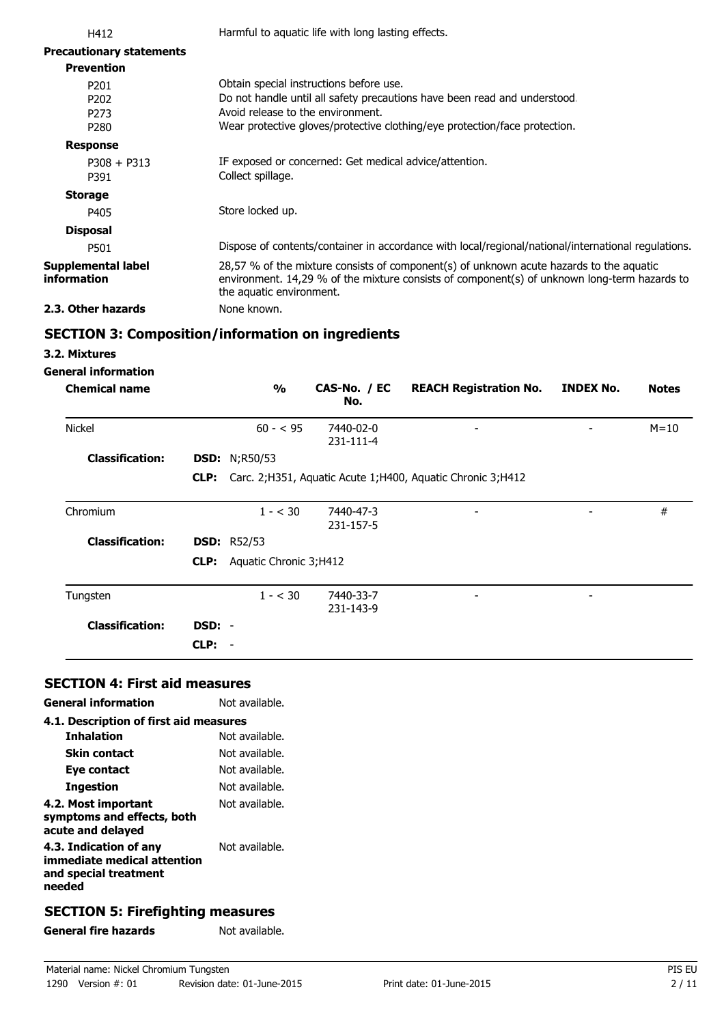| H412                                                     |      |                                   | Harmful to aquatic life with long lasting effects.     |                                                                                                                                                                                         |                  |              |
|----------------------------------------------------------|------|-----------------------------------|--------------------------------------------------------|-----------------------------------------------------------------------------------------------------------------------------------------------------------------------------------------|------------------|--------------|
| <b>Precautionary statements</b>                          |      |                                   |                                                        |                                                                                                                                                                                         |                  |              |
| <b>Prevention</b>                                        |      |                                   |                                                        |                                                                                                                                                                                         |                  |              |
| P201<br>P <sub>202</sub><br>P <sub>273</sub><br>P280     |      | Avoid release to the environment. | Obtain special instructions before use.                | Do not handle until all safety precautions have been read and understood.<br>Wear protective gloves/protective clothing/eye protection/face protection.                                 |                  |              |
| <b>Response</b>                                          |      |                                   |                                                        |                                                                                                                                                                                         |                  |              |
| $P308 + P313$<br>P391                                    |      | Collect spillage.                 | IF exposed or concerned: Get medical advice/attention. |                                                                                                                                                                                         |                  |              |
| <b>Storage</b>                                           |      |                                   |                                                        |                                                                                                                                                                                         |                  |              |
| P405                                                     |      | Store locked up.                  |                                                        |                                                                                                                                                                                         |                  |              |
| <b>Disposal</b>                                          |      |                                   |                                                        |                                                                                                                                                                                         |                  |              |
| P501                                                     |      |                                   |                                                        | Dispose of contents/container in accordance with local/regional/national/international regulations.                                                                                     |                  |              |
| <b>Supplemental label</b><br>information                 |      | the aquatic environment.          |                                                        | 28,57 % of the mixture consists of component(s) of unknown acute hazards to the aquatic<br>environment. 14,29 % of the mixture consists of component(s) of unknown long-term hazards to |                  |              |
| 2.3. Other hazards                                       |      | None known.                       |                                                        |                                                                                                                                                                                         |                  |              |
| <b>SECTION 3: Composition/information on ingredients</b> |      |                                   |                                                        |                                                                                                                                                                                         |                  |              |
| 3.2. Mixtures                                            |      |                                   |                                                        |                                                                                                                                                                                         |                  |              |
| <b>General information</b>                               |      |                                   |                                                        |                                                                                                                                                                                         |                  |              |
| <b>Chemical name</b>                                     |      | $\frac{1}{2}$                     | CAS-No. / EC<br>No.                                    | <b>REACH Registration No.</b>                                                                                                                                                           | <b>INDEX No.</b> | <b>Notes</b> |
| <b>Nickel</b>                                            |      | $60 - 595$                        | 7440-02-0<br>231-111-4                                 |                                                                                                                                                                                         |                  | $M = 10$     |
| <b>Classification:</b>                                   |      | <b>DSD:</b> N;R50/53              |                                                        |                                                                                                                                                                                         |                  |              |
|                                                          | CLP: |                                   |                                                        | Carc. 2;H351, Aquatic Acute 1;H400, Aquatic Chronic 3;H412                                                                                                                              |                  |              |
| Chromium                                                 |      | $1 - < 30$                        | 7440-47-3<br>231-157-5                                 |                                                                                                                                                                                         |                  | $\#$         |
| <b>Classification:</b>                                   |      | <b>DSD: R52/53</b>                |                                                        |                                                                                                                                                                                         |                  |              |
|                                                          | CLP: | Aquatic Chronic 3; H412           |                                                        |                                                                                                                                                                                         |                  |              |

| Tungsten               |        | $1 - < 30$ | 7440-33-7<br>231-143-9 | $\overline{\phantom{a}}$ | $\overline{\phantom{a}}$ |  |
|------------------------|--------|------------|------------------------|--------------------------|--------------------------|--|
| <b>Classification:</b> | DSD: - |            |                        |                          |                          |  |
|                        | CLP:   |            |                        |                          |                          |  |

# **SECTION 4: First aid measures**

| <b>General information</b>                                                               | Not available. |
|------------------------------------------------------------------------------------------|----------------|
| 4.1. Description of first aid measures                                                   |                |
| <b>Inhalation</b>                                                                        | Not available. |
| Skin contact                                                                             | Not available. |
| Eye contact                                                                              | Not available. |
| Ingestion                                                                                | Not available. |
| 4.2. Most important<br>symptoms and effects, both<br>acute and delayed                   | Not available. |
| 4.3. Indication of any<br>immediate medical attention<br>and special treatment<br>needed | Not available. |
|                                                                                          |                |

# **SECTION 5: Firefighting measures**

General fire hazards **Not available.**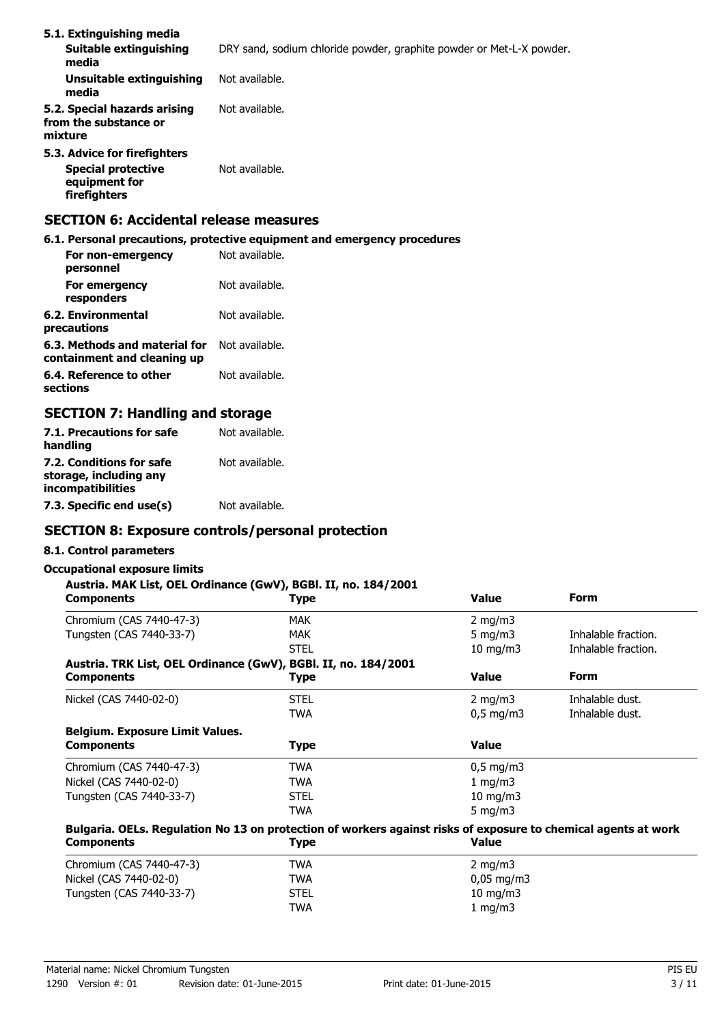| 5.1. Extinguishing media<br>Suitable extinguishing<br>media                                | DRY sand, sodium chloride powder, graphite powder or Met-L-X powder. |
|--------------------------------------------------------------------------------------------|----------------------------------------------------------------------|
| Unsuitable extinguishing<br>media                                                          | Not available.                                                       |
| 5.2. Special hazards arising<br>from the substance or<br>mixture                           | Not available.                                                       |
| 5.3. Advice for firefighters<br><b>Special protective</b><br>equipment for<br>firefighters | Not available.                                                       |

# **SECTION 6: Accidental release measures**

**6.1. Personal precautions, protective equipment and emergency procedures**

| For non-emergency<br>personnel                               | Not available. |
|--------------------------------------------------------------|----------------|
| For emergency<br>responders                                  | Not available. |
| 6.2. Environmental<br>precautions                            | Not available. |
| 6.3. Methods and material for<br>containment and cleaning up | Not available. |
| 6.4. Reference to other<br>sections                          | Not available. |

## **SECTION 7: Handling and storage**

| 7.1. Precautions for safe<br>handling                                   | Not available. |
|-------------------------------------------------------------------------|----------------|
| 7.2. Conditions for safe<br>storage, including any<br>incompatibilities | Not available. |
| 7.3. Specific end use(s)                                                | Not available. |

### **SECTION 8: Exposure controls/personal protection**

#### **8.1. Control parameters**

#### **Occupational exposure limits**

### **Austria. MAK List, OEL Ordinance (GwV), BGBl. II, no. 184/2001**

| u iui i inii 2007 v<br><b>Components</b>                                                                       | Type        | <b>Value</b>           | <b>Form</b>         |
|----------------------------------------------------------------------------------------------------------------|-------------|------------------------|---------------------|
| Chromium (CAS 7440-47-3)                                                                                       | <b>MAK</b>  | 2 mg/m $3$             |                     |
| Tungsten (CAS 7440-33-7)                                                                                       | <b>MAK</b>  | 5 $mq/m3$              | Inhalable fraction. |
|                                                                                                                | <b>STEL</b> | $10 \text{ mg/m}$      | Inhalable fraction. |
| Austria. TRK List, OEL Ordinance (GwV), BGBI. II, no. 184/2001                                                 |             |                        |                     |
| Components                                                                                                     | Type        | <b>Value</b>           | <b>Form</b>         |
| Nickel (CAS 7440-02-0)                                                                                         | STEL        | 2 mg/m $3$             | Inhalable dust.     |
|                                                                                                                | TWA         | $0,5 \text{ mg/m}$     | Inhalable dust.     |
| <b>Belgium. Exposure Limit Values.</b>                                                                         |             |                        |                     |
| <b>Components</b>                                                                                              | <b>Type</b> | <b>Value</b>           |                     |
| Chromium (CAS 7440-47-3)                                                                                       | <b>TWA</b>  | $0,5$ mg/m3            |                     |
| Nickel (CAS 7440-02-0)                                                                                         | TWA         | 1 mg/m $3$             |                     |
| Tungsten (CAS 7440-33-7)                                                                                       | <b>STEL</b> | $10$ mg/m $3$          |                     |
|                                                                                                                | <b>TWA</b>  | 5 mg/m $3$             |                     |
| Bulgaria. OELs. Regulation No 13 on protection of workers against risks of exposure to chemical agents at work |             |                        |                     |
| Components                                                                                                     | Type        | <b>Value</b>           |                     |
| Chromium (CAS 7440-47-3)                                                                                       | <b>TWA</b>  | 2 mg/m $3$             |                     |
| Nickel (CAS 7440-02-0)                                                                                         | <b>TWA</b>  | $0,05 \,\mathrm{mg/m}$ |                     |
| Tungsten (CAS 7440-33-7)                                                                                       | <b>STEL</b> | $10 \text{ mg/m}$      |                     |
|                                                                                                                | <b>TWA</b>  | 1 mg/m $3$             |                     |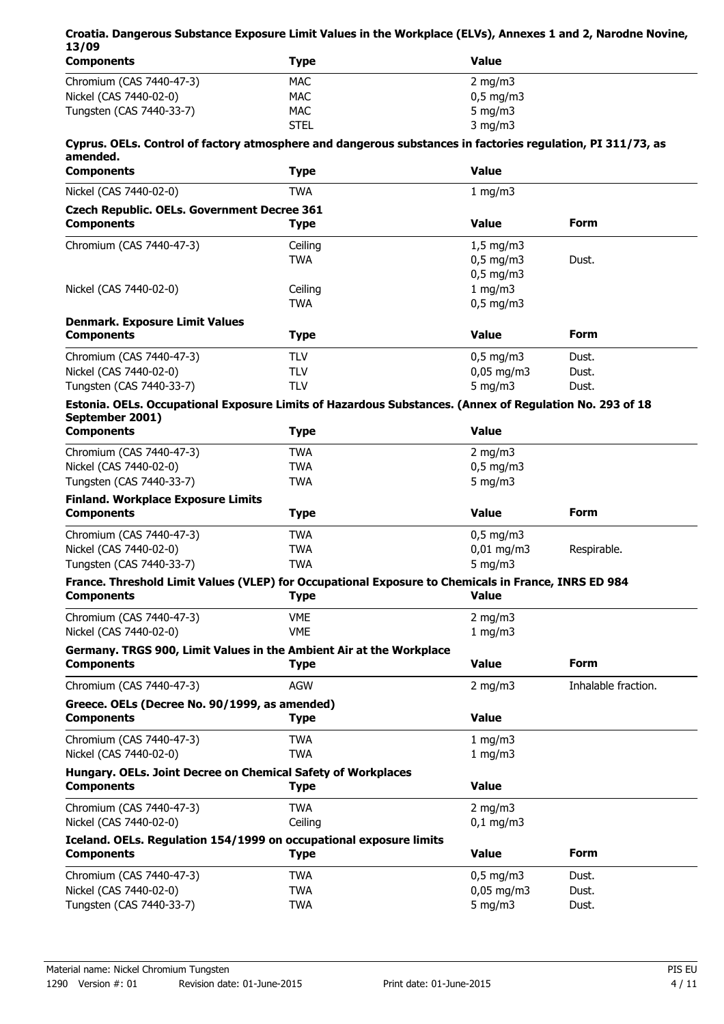## **Croatia. Dangerous Substance Exposure Limit Values in the Workplace (ELVs), Annexes 1 and 2, Narodne Novine, 13/09**

| <b>Components</b>        | Type        | <b>Value</b>       |  |
|--------------------------|-------------|--------------------|--|
| Chromium (CAS 7440-47-3) | MAC         | $2 \text{ mg/m}$   |  |
| Nickel (CAS 7440-02-0)   | MAC         | $0.5 \text{ mg/m}$ |  |
| Tungsten (CAS 7440-33-7) | MAC         | 5 mg/m $3$         |  |
|                          | <b>STEL</b> | $3$ mg/m $3$       |  |

### **Cyprus. OELs. Control of factory atmosphere and dangerous substances in factories regulation, PI 311/73, as amended.**

| <b>Components</b>                                                                                                          | <b>Type</b> | <b>Value</b>       |                     |
|----------------------------------------------------------------------------------------------------------------------------|-------------|--------------------|---------------------|
| Nickel (CAS 7440-02-0)                                                                                                     | <b>TWA</b>  | 1 mg/m3            |                     |
| <b>Czech Republic. OELs. Government Decree 361</b>                                                                         |             |                    |                     |
| <b>Components</b>                                                                                                          | <b>Type</b> | <b>Value</b>       | <b>Form</b>         |
| Chromium (CAS 7440-47-3)                                                                                                   | Ceiling     | $1,5$ mg/m $3$     |                     |
|                                                                                                                            | <b>TWA</b>  | $0,5$ mg/m3        | Dust.               |
|                                                                                                                            |             | $0,5$ mg/m3        |                     |
| Nickel (CAS 7440-02-0)                                                                                                     | Ceiling     | 1 mg/m3            |                     |
|                                                                                                                            | <b>TWA</b>  | $0,5$ mg/m3        |                     |
| <b>Denmark. Exposure Limit Values</b>                                                                                      |             |                    |                     |
| <b>Components</b>                                                                                                          | <b>Type</b> | <b>Value</b>       | <b>Form</b>         |
| Chromium (CAS 7440-47-3)                                                                                                   | <b>TLV</b>  | $0,5$ mg/m3        | Dust.               |
| Nickel (CAS 7440-02-0)                                                                                                     | <b>TLV</b>  | $0.05$ mg/m3       | Dust.               |
| Tungsten (CAS 7440-33-7)                                                                                                   | <b>TLV</b>  | $5$ mg/m $3$       | Dust.               |
| Estonia. OELs. Occupational Exposure Limits of Hazardous Substances. (Annex of Regulation No. 293 of 18<br>September 2001) |             |                    |                     |
| <b>Components</b>                                                                                                          | <b>Type</b> | <b>Value</b>       |                     |
| Chromium (CAS 7440-47-3)                                                                                                   | <b>TWA</b>  | 2 mg/m $3$         |                     |
| Nickel (CAS 7440-02-0)                                                                                                     | <b>TWA</b>  | $0,5$ mg/m3        |                     |
| Tungsten (CAS 7440-33-7)                                                                                                   | <b>TWA</b>  | $5$ mg/m $3$       |                     |
| <b>Finland. Workplace Exposure Limits</b>                                                                                  |             |                    |                     |
| <b>Components</b>                                                                                                          | <b>Type</b> | <b>Value</b>       | Form                |
| Chromium (CAS 7440-47-3)                                                                                                   | <b>TWA</b>  | $0,5 \text{ mg/m}$ |                     |
| Nickel (CAS 7440-02-0)                                                                                                     | <b>TWA</b>  | $0,01$ mg/m3       | Respirable.         |
| Tungsten (CAS 7440-33-7)                                                                                                   | <b>TWA</b>  | $5$ mg/m $3$       |                     |
| France. Threshold Limit Values (VLEP) for Occupational Exposure to Chemicals in France, INRS ED 984                        |             |                    |                     |
| <b>Components</b>                                                                                                          | <b>Type</b> | <b>Value</b>       |                     |
| Chromium (CAS 7440-47-3)                                                                                                   | <b>VME</b>  | $2$ mg/m $3$       |                     |
| Nickel (CAS 7440-02-0)                                                                                                     | <b>VME</b>  | 1 mg/m3            |                     |
| Germany. TRGS 900, Limit Values in the Ambient Air at the Workplace                                                        |             |                    |                     |
| <b>Components</b>                                                                                                          | <b>Type</b> | <b>Value</b>       | <b>Form</b>         |
| Chromium (CAS 7440-47-3)                                                                                                   | <b>AGW</b>  | $2$ mg/m $3$       | Inhalable fraction. |
| Greece. OELs (Decree No. 90/1999, as amended)                                                                              |             |                    |                     |
| <b>Components</b>                                                                                                          | <b>Type</b> | <b>Value</b>       |                     |
| Chromium (CAS 7440-47-3)                                                                                                   | <b>TWA</b>  | 1 mg/m3            |                     |
| Nickel (CAS 7440-02-0)                                                                                                     | <b>TWA</b>  | 1 mg/m3            |                     |
| Hungary. OELs. Joint Decree on Chemical Safety of Workplaces                                                               |             |                    |                     |
| <b>Components</b>                                                                                                          | <b>Type</b> | <b>Value</b>       |                     |
| Chromium (CAS 7440-47-3)                                                                                                   | <b>TWA</b>  | 2 mg/m $3$         |                     |
| Nickel (CAS 7440-02-0)                                                                                                     | Ceiling     | $0,1$ mg/m3        |                     |
| Iceland. OELs. Regulation 154/1999 on occupational exposure limits                                                         |             |                    |                     |
| <b>Components</b>                                                                                                          | <b>Type</b> | <b>Value</b>       | <b>Form</b>         |
| Chromium (CAS 7440-47-3)                                                                                                   | <b>TWA</b>  | $0,5$ mg/m3        | Dust.               |
| Nickel (CAS 7440-02-0)                                                                                                     | <b>TWA</b>  | $0,05$ mg/m3       | Dust.               |
| Tungsten (CAS 7440-33-7)                                                                                                   | <b>TWA</b>  | 5 mg/m $3$         | Dust.               |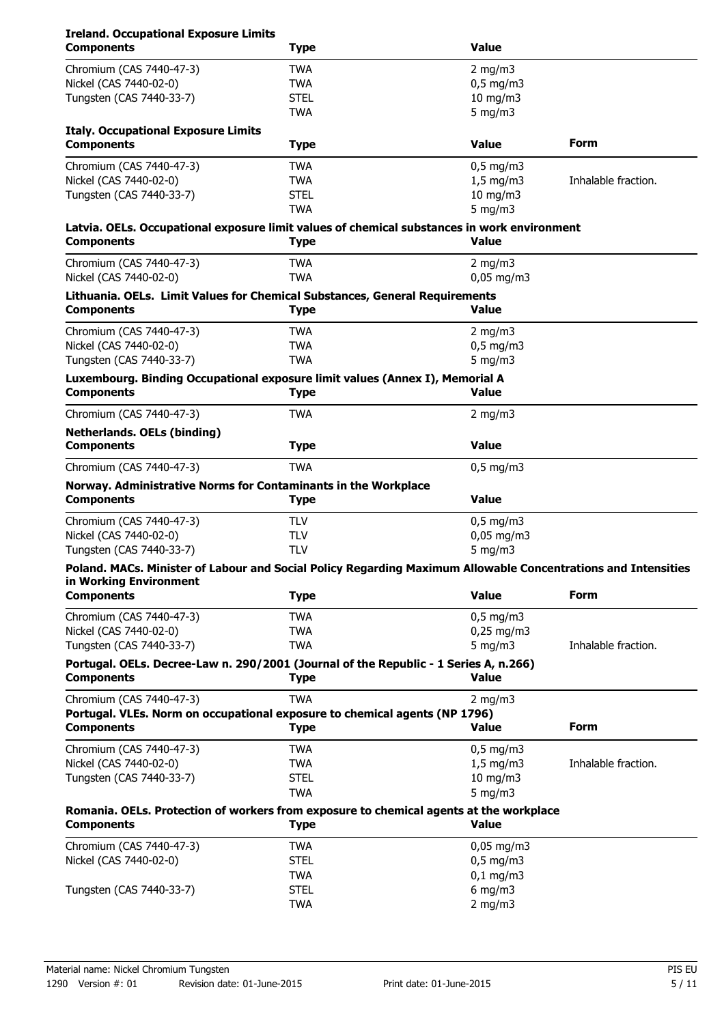# **Ireland. Occupational Exposure Limits**

| <b>Components</b>                                                                                                                       | <b>Type</b> | <b>Value</b>   |                     |
|-----------------------------------------------------------------------------------------------------------------------------------------|-------------|----------------|---------------------|
| Chromium (CAS 7440-47-3)                                                                                                                | <b>TWA</b>  | $2$ mg/m $3$   |                     |
| Nickel (CAS 7440-02-0)                                                                                                                  | <b>TWA</b>  | $0,5$ mg/m3    |                     |
| Tungsten (CAS 7440-33-7)                                                                                                                | <b>STEL</b> | 10 mg/m3       |                     |
|                                                                                                                                         | <b>TWA</b>  | 5 mg/m $3$     |                     |
| <b>Italy. Occupational Exposure Limits</b>                                                                                              |             |                |                     |
| <b>Components</b>                                                                                                                       | <b>Type</b> | <b>Value</b>   | Form                |
| Chromium (CAS 7440-47-3)                                                                                                                | <b>TWA</b>  | $0,5$ mg/m3    |                     |
| Nickel (CAS 7440-02-0)                                                                                                                  | <b>TWA</b>  | $1,5$ mg/m3    | Inhalable fraction. |
| Tungsten (CAS 7440-33-7)                                                                                                                | <b>STEL</b> | 10 mg/m3       |                     |
|                                                                                                                                         | <b>TWA</b>  | $5$ mg/m $3$   |                     |
| Latvia. OELs. Occupational exposure limit values of chemical substances in work environment                                             |             |                |                     |
| <b>Components</b>                                                                                                                       | <b>Type</b> | <b>Value</b>   |                     |
| Chromium (CAS 7440-47-3)                                                                                                                | <b>TWA</b>  | 2 mg/m $3$     |                     |
| Nickel (CAS 7440-02-0)                                                                                                                  | <b>TWA</b>  | $0,05$ mg/m3   |                     |
| Lithuania. OELs. Limit Values for Chemical Substances, General Requirements                                                             |             |                |                     |
| <b>Components</b>                                                                                                                       | <b>Type</b> | <b>Value</b>   |                     |
| Chromium (CAS 7440-47-3)                                                                                                                | <b>TWA</b>  | 2 mg/m $3$     |                     |
| Nickel (CAS 7440-02-0)                                                                                                                  | <b>TWA</b>  | $0,5$ mg/m3    |                     |
| Tungsten (CAS 7440-33-7)                                                                                                                | <b>TWA</b>  | 5 mg/m $3$     |                     |
| Luxembourg. Binding Occupational exposure limit values (Annex I), Memorial A                                                            |             |                |                     |
| <b>Components</b>                                                                                                                       | <b>Type</b> | <b>Value</b>   |                     |
| Chromium (CAS 7440-47-3)                                                                                                                | <b>TWA</b>  | 2 mg/m $3$     |                     |
| <b>Netherlands. OELs (binding)</b>                                                                                                      |             |                |                     |
| <b>Components</b>                                                                                                                       | <b>Type</b> | <b>Value</b>   |                     |
| Chromium (CAS 7440-47-3)                                                                                                                | <b>TWA</b>  | $0,5$ mg/m3    |                     |
| Norway. Administrative Norms for Contaminants in the Workplace<br><b>Components</b>                                                     | <b>Type</b> | <b>Value</b>   |                     |
|                                                                                                                                         |             |                |                     |
| Chromium (CAS 7440-47-3)                                                                                                                | <b>TLV</b>  | $0,5$ mg/m3    |                     |
| Nickel (CAS 7440-02-0)                                                                                                                  | <b>TLV</b>  | $0,05$ mg/m3   |                     |
| Tungsten (CAS 7440-33-7)                                                                                                                | <b>TLV</b>  | $5$ mg/m $3$   |                     |
| Poland. MACs. Minister of Labour and Social Policy Regarding Maximum Allowable Concentrations and Intensities<br>in Working Environment |             |                |                     |
| <b>Components</b>                                                                                                                       | <b>Type</b> | <b>Value</b>   | <b>Form</b>         |
| Chromium (CAS 7440-47-3)                                                                                                                | <b>TWA</b>  | $0,5$ mg/m3    |                     |
| Nickel (CAS 7440-02-0)                                                                                                                  | <b>TWA</b>  | 0,25 mg/m3     |                     |
| Tungsten (CAS 7440-33-7)                                                                                                                | <b>TWA</b>  | 5 mg/m $3$     | Inhalable fraction. |
|                                                                                                                                         |             |                |                     |
| Portugal. OELs. Decree-Law n. 290/2001 (Journal of the Republic - 1 Series A, n.266)<br><b>Components</b>                               | <b>Type</b> | <b>Value</b>   |                     |
| Chromium (CAS 7440-47-3)                                                                                                                | <b>TWA</b>  | 2 mg/m $3$     |                     |
| Portugal. VLEs. Norm on occupational exposure to chemical agents (NP 1796)                                                              |             |                |                     |
| <b>Components</b>                                                                                                                       | <b>Type</b> | <b>Value</b>   | <b>Form</b>         |
| Chromium (CAS 7440-47-3)                                                                                                                | <b>TWA</b>  | $0,5$ mg/m3    |                     |
| Nickel (CAS 7440-02-0)                                                                                                                  | <b>TWA</b>  | $1,5$ mg/m $3$ | Inhalable fraction. |
| Tungsten (CAS 7440-33-7)                                                                                                                | <b>STEL</b> | $10$ mg/m $3$  |                     |
|                                                                                                                                         | <b>TWA</b>  | 5 mg/m $3$     |                     |
| Romania. OELs. Protection of workers from exposure to chemical agents at the workplace<br><b>Components</b>                             | <b>Type</b> | <b>Value</b>   |                     |
| Chromium (CAS 7440-47-3)                                                                                                                | <b>TWA</b>  | $0,05$ mg/m3   |                     |
| Nickel (CAS 7440-02-0)                                                                                                                  | <b>STEL</b> | $0,5$ mg/m3    |                     |
|                                                                                                                                         | <b>TWA</b>  | $0,1$ mg/m3    |                     |
| Tungsten (CAS 7440-33-7)                                                                                                                | <b>STEL</b> | $6$ mg/m $3$   |                     |
|                                                                                                                                         | <b>TWA</b>  | $2$ mg/m $3$   |                     |
|                                                                                                                                         |             |                |                     |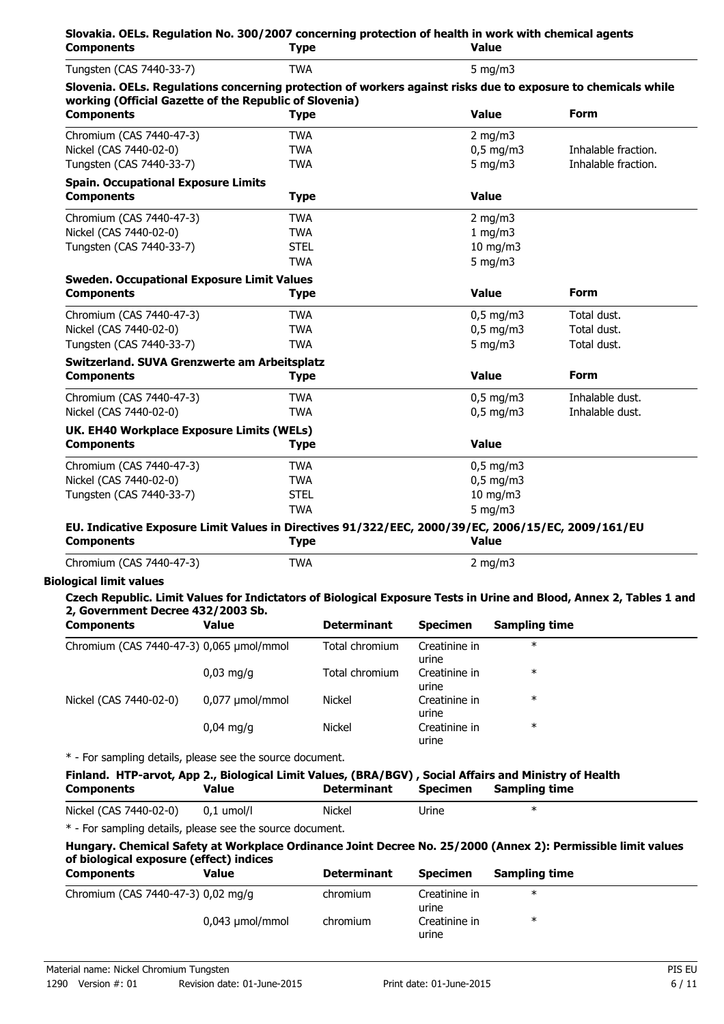| Tungsten (CAS 7440-33-7)                                                                                                                                                                                                                                                                                                                                                                                                                     |                 | <b>TWA</b>         |                        | 5 mg/m $3$           |                     |
|----------------------------------------------------------------------------------------------------------------------------------------------------------------------------------------------------------------------------------------------------------------------------------------------------------------------------------------------------------------------------------------------------------------------------------------------|-----------------|--------------------|------------------------|----------------------|---------------------|
| Slovenia. OELs. Regulations concerning protection of workers against risks due to exposure to chemicals while<br>working (Official Gazette of the Republic of Slovenia)                                                                                                                                                                                                                                                                      |                 |                    |                        |                      |                     |
| <b>Components</b>                                                                                                                                                                                                                                                                                                                                                                                                                            |                 | <b>Type</b>        | <b>Value</b>           |                      | <b>Form</b>         |
| Chromium (CAS 7440-47-3)                                                                                                                                                                                                                                                                                                                                                                                                                     |                 | <b>TWA</b>         |                        | 2 mg/m $3$           |                     |
| Nickel (CAS 7440-02-0)                                                                                                                                                                                                                                                                                                                                                                                                                       |                 | <b>TWA</b>         |                        | $0,5$ mg/m3          | Inhalable fraction. |
| Tungsten (CAS 7440-33-7)                                                                                                                                                                                                                                                                                                                                                                                                                     |                 | <b>TWA</b>         |                        | $5$ mg/m $3$         | Inhalable fraction. |
| <b>Spain. Occupational Exposure Limits</b><br><b>Components</b>                                                                                                                                                                                                                                                                                                                                                                              |                 | <b>Type</b>        | <b>Value</b>           |                      |                     |
|                                                                                                                                                                                                                                                                                                                                                                                                                                              |                 |                    |                        |                      |                     |
| Chromium (CAS 7440-47-3)                                                                                                                                                                                                                                                                                                                                                                                                                     |                 | <b>TWA</b>         |                        | 2 mg/m $3$           |                     |
| Nickel (CAS 7440-02-0)                                                                                                                                                                                                                                                                                                                                                                                                                       |                 | <b>TWA</b>         |                        | 1 mg/m3              |                     |
| Tungsten (CAS 7440-33-7)                                                                                                                                                                                                                                                                                                                                                                                                                     |                 | <b>STEL</b>        |                        | $10$ mg/m $3$        |                     |
|                                                                                                                                                                                                                                                                                                                                                                                                                                              |                 | <b>TWA</b>         |                        | 5 mg/m $3$           |                     |
| <b>Sweden. Occupational Exposure Limit Values</b>                                                                                                                                                                                                                                                                                                                                                                                            |                 |                    |                        |                      |                     |
| <b>Components</b>                                                                                                                                                                                                                                                                                                                                                                                                                            |                 | <b>Type</b>        | <b>Value</b>           |                      | <b>Form</b>         |
| Chromium (CAS 7440-47-3)                                                                                                                                                                                                                                                                                                                                                                                                                     |                 | <b>TWA</b>         |                        | $0,5$ mg/m3          | Total dust.         |
| Nickel (CAS 7440-02-0)                                                                                                                                                                                                                                                                                                                                                                                                                       |                 | <b>TWA</b>         |                        | $0.5$ mg/m $3$       | Total dust.         |
| Tungsten (CAS 7440-33-7)                                                                                                                                                                                                                                                                                                                                                                                                                     |                 | <b>TWA</b>         |                        | $5$ mg/m $3$         | Total dust.         |
| Switzerland. SUVA Grenzwerte am Arbeitsplatz                                                                                                                                                                                                                                                                                                                                                                                                 |                 |                    |                        |                      |                     |
| <b>Components</b>                                                                                                                                                                                                                                                                                                                                                                                                                            |                 | <b>Type</b>        | <b>Value</b>           |                      | <b>Form</b>         |
| Chromium (CAS 7440-47-3)                                                                                                                                                                                                                                                                                                                                                                                                                     |                 | <b>TWA</b>         |                        | $0,5$ mg/m3          | Inhalable dust.     |
| Nickel (CAS 7440-02-0)                                                                                                                                                                                                                                                                                                                                                                                                                       |                 | <b>TWA</b>         |                        | $0,5$ mg/m3          | Inhalable dust.     |
| UK. EH40 Workplace Exposure Limits (WELs)                                                                                                                                                                                                                                                                                                                                                                                                    |                 |                    |                        |                      |                     |
| <b>Components</b>                                                                                                                                                                                                                                                                                                                                                                                                                            |                 | <b>Type</b>        | <b>Value</b>           |                      |                     |
| Chromium (CAS 7440-47-3)                                                                                                                                                                                                                                                                                                                                                                                                                     |                 | <b>TWA</b>         |                        | $0,5$ mg/m3          |                     |
| Nickel (CAS 7440-02-0)                                                                                                                                                                                                                                                                                                                                                                                                                       |                 | <b>TWA</b>         |                        | $0,5$ mg/m3          |                     |
| Tungsten (CAS 7440-33-7)                                                                                                                                                                                                                                                                                                                                                                                                                     |                 | <b>STEL</b>        |                        | 10 mg/m3             |                     |
|                                                                                                                                                                                                                                                                                                                                                                                                                                              |                 |                    |                        |                      |                     |
|                                                                                                                                                                                                                                                                                                                                                                                                                                              |                 | <b>TWA</b>         |                        | 5 mg/m $3$           |                     |
|                                                                                                                                                                                                                                                                                                                                                                                                                                              |                 | <b>Type</b>        | <b>Value</b>           |                      |                     |
|                                                                                                                                                                                                                                                                                                                                                                                                                                              |                 |                    |                        |                      |                     |
|                                                                                                                                                                                                                                                                                                                                                                                                                                              |                 | <b>TWA</b>         |                        | 2 mg/m $3$           |                     |
|                                                                                                                                                                                                                                                                                                                                                                                                                                              |                 |                    |                        |                      |                     |
|                                                                                                                                                                                                                                                                                                                                                                                                                                              |                 |                    |                        |                      |                     |
|                                                                                                                                                                                                                                                                                                                                                                                                                                              | <b>Value</b>    | <b>Determinant</b> | <b>Specimen</b>        | <b>Sampling time</b> |                     |
|                                                                                                                                                                                                                                                                                                                                                                                                                                              |                 |                    |                        | $\ast$               |                     |
|                                                                                                                                                                                                                                                                                                                                                                                                                                              |                 | Total chromium     | Creatinine in          |                      |                     |
|                                                                                                                                                                                                                                                                                                                                                                                                                                              |                 | Total chromium     | urine<br>Creatinine in | $\ast$               |                     |
|                                                                                                                                                                                                                                                                                                                                                                                                                                              | $0,03$ mg/g     |                    | urine                  |                      |                     |
|                                                                                                                                                                                                                                                                                                                                                                                                                                              | 0,077 µmol/mmol | Nickel             | Creatinine in          | $\ast$               |                     |
| EU. Indicative Exposure Limit Values in Directives 91/322/EEC, 2000/39/EC, 2006/15/EC, 2009/161/EU<br><b>Components</b><br>Chromium (CAS 7440-47-3)<br><b>Biological limit values</b><br>Czech Republic. Limit Values for Indictators of Biological Exposure Tests in Urine and Blood, Annex 2, Tables 1 and<br>2, Government Decree 432/2003 Sb.<br><b>Components</b><br>Chromium (CAS 7440-47-3) 0,065 µmol/mmol<br>Nickel (CAS 7440-02-0) | $0,04$ mg/g     | <b>Nickel</b>      | urine<br>Creatinine in | $\ast$               |                     |
|                                                                                                                                                                                                                                                                                                                                                                                                                                              |                 |                    | urine                  |                      |                     |
|                                                                                                                                                                                                                                                                                                                                                                                                                                              |                 |                    |                        |                      |                     |
|                                                                                                                                                                                                                                                                                                                                                                                                                                              | <b>Value</b>    | <b>Determinant</b> | <b>Specimen</b>        | <b>Sampling time</b> |                     |
|                                                                                                                                                                                                                                                                                                                                                                                                                                              | $0,1$ umol/l    | <b>Nickel</b>      | Urine                  | $\ast$               |                     |
|                                                                                                                                                                                                                                                                                                                                                                                                                                              |                 |                    |                        |                      |                     |
|                                                                                                                                                                                                                                                                                                                                                                                                                                              |                 |                    |                        |                      |                     |
| * - For sampling details, please see the source document.<br>Finland. HTP-arvot, App 2., Biological Limit Values, (BRA/BGV), Social Affairs and Ministry of Health<br><b>Components</b><br>Nickel (CAS 7440-02-0)<br>* - For sampling details, please see the source document.<br>Hungary. Chemical Safety at Workplace Ordinance Joint Decree No. 25/2000 (Annex 2): Permissible limit values<br>of biological exposure (effect) indices    |                 |                    |                        |                      |                     |
|                                                                                                                                                                                                                                                                                                                                                                                                                                              | <b>Value</b>    | <b>Determinant</b> | <b>Specimen</b>        | <b>Sampling time</b> |                     |
| <b>Components</b><br>Chromium (CAS 7440-47-3) 0,02 mg/g                                                                                                                                                                                                                                                                                                                                                                                      |                 | chromium           | Creatinine in          | $\ast$               |                     |
|                                                                                                                                                                                                                                                                                                                                                                                                                                              | 0,043 µmol/mmol | chromium           | urine<br>Creatinine in | $\ast$               |                     |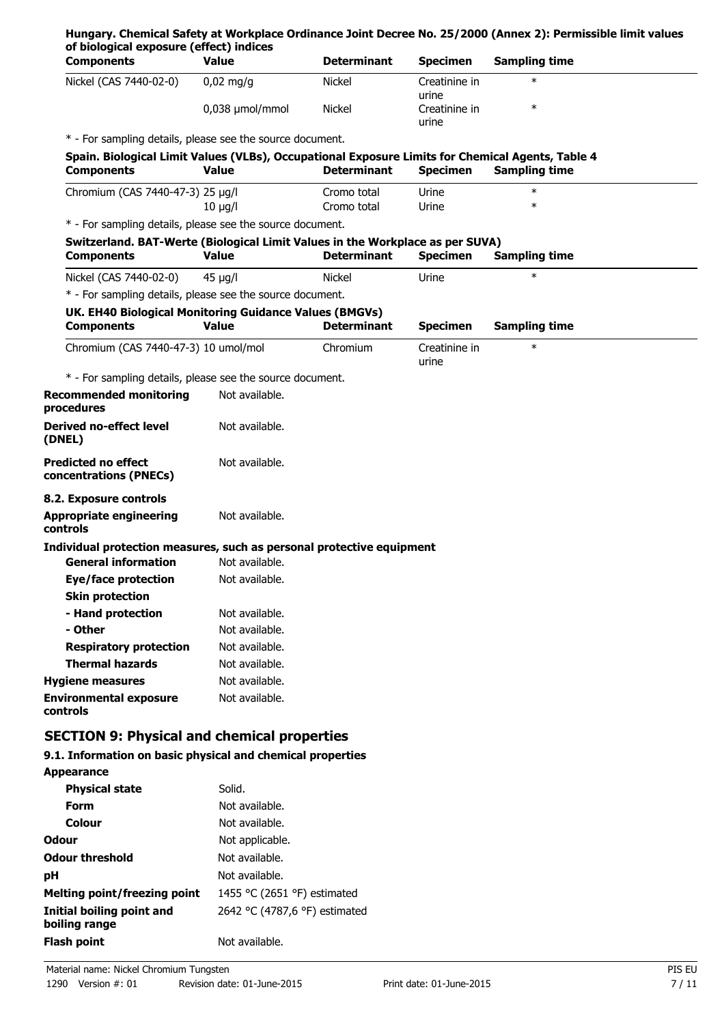| <b>Components</b>                                                                                                     | <b>Value</b>                     | <b>Determinant</b> | <b>Specimen</b>        | <b>Sampling time</b> |
|-----------------------------------------------------------------------------------------------------------------------|----------------------------------|--------------------|------------------------|----------------------|
| Nickel (CAS 7440-02-0)                                                                                                | $0,02$ mg/g                      | <b>Nickel</b>      | Creatinine in<br>urine | $\ast$               |
|                                                                                                                       | 0,038 µmol/mmol                  | <b>Nickel</b>      | Creatinine in<br>urine | $\ast$               |
| * - For sampling details, please see the source document.                                                             |                                  |                    |                        |                      |
| Spain. Biological Limit Values (VLBs), Occupational Exposure Limits for Chemical Agents, Table 4<br><b>Components</b> | Value                            | <b>Determinant</b> | <b>Specimen</b>        | <b>Sampling time</b> |
| Chromium (CAS 7440-47-3) 25 µg/l                                                                                      |                                  | Cromo total        | Urine                  | $\ast$               |
|                                                                                                                       | $10 \mu g/l$                     | Cromo total        | Urine                  | $\ast$               |
| * - For sampling details, please see the source document.                                                             |                                  |                    |                        |                      |
| Switzerland. BAT-Werte (Biological Limit Values in the Workplace as per SUVA)<br><b>Components</b>                    | <b>Value</b>                     | <b>Determinant</b> | <b>Specimen</b>        | <b>Sampling time</b> |
| Nickel (CAS 7440-02-0)                                                                                                | $45 \mu g/l$                     | <b>Nickel</b>      | Urine                  | $\ast$               |
| * - For sampling details, please see the source document.                                                             |                                  |                    |                        |                      |
| UK. EH40 Biological Monitoring Guidance Values (BMGVs)<br><b>Components</b>                                           | <b>Value</b>                     | <b>Determinant</b> | <b>Specimen</b>        | <b>Sampling time</b> |
| Chromium (CAS 7440-47-3) 10 umol/mol                                                                                  |                                  | Chromium           | Creatinine in<br>urine | $\ast$               |
| * - For sampling details, please see the source document.                                                             |                                  |                    |                        |                      |
| <b>Recommended monitoring</b><br>procedures                                                                           | Not available.                   |                    |                        |                      |
| <b>Derived no-effect level</b><br>(DNEL)                                                                              | Not available.                   |                    |                        |                      |
| <b>Predicted no effect</b><br>concentrations (PNECs)                                                                  | Not available.                   |                    |                        |                      |
| 8.2. Exposure controls                                                                                                |                                  |                    |                        |                      |
| <b>Appropriate engineering</b><br>controls                                                                            | Not available.                   |                    |                        |                      |
| Individual protection measures, such as personal protective equipment                                                 |                                  |                    |                        |                      |
| <b>General information</b>                                                                                            | Not available.                   |                    |                        |                      |
| <b>Eye/face protection</b>                                                                                            | Not available.                   |                    |                        |                      |
| <b>Skin protection</b>                                                                                                |                                  |                    |                        |                      |
| - Hand protection<br>- Other                                                                                          | Not available.<br>Not available. |                    |                        |                      |
| <b>Respiratory protection</b>                                                                                         | Not available.                   |                    |                        |                      |
| <b>Thermal hazards</b>                                                                                                | Not available.                   |                    |                        |                      |
| <b>Hygiene measures</b>                                                                                               | Not available.                   |                    |                        |                      |
| <b>Environmental exposure</b>                                                                                         | Not available.                   |                    |                        |                      |
| controls                                                                                                              |                                  |                    |                        |                      |
| <b>SECTION 9: Physical and chemical properties</b>                                                                    |                                  |                    |                        |                      |
| 9.1. Information on basic physical and chemical properties                                                            |                                  |                    |                        |                      |
| <b>Appearance</b>                                                                                                     |                                  |                    |                        |                      |
| <b>Physical state</b>                                                                                                 | Solid.                           |                    |                        |                      |
| <b>Form</b>                                                                                                           | Not available.                   |                    |                        |                      |
| Colour                                                                                                                | Not available.                   |                    |                        |                      |

| <b>Colour</b>                              | Not available.                |
|--------------------------------------------|-------------------------------|
| Odour                                      | Not applicable.               |
| Odour threshold                            | Not available.                |
| рH                                         | Not available.                |
| Melting point/freezing point               | 1455 °C (2651 °F) estimated   |
| Initial boiling point and<br>boiling range | 2642 °C (4787,6 °F) estimated |
| Flash point                                | Not available.                |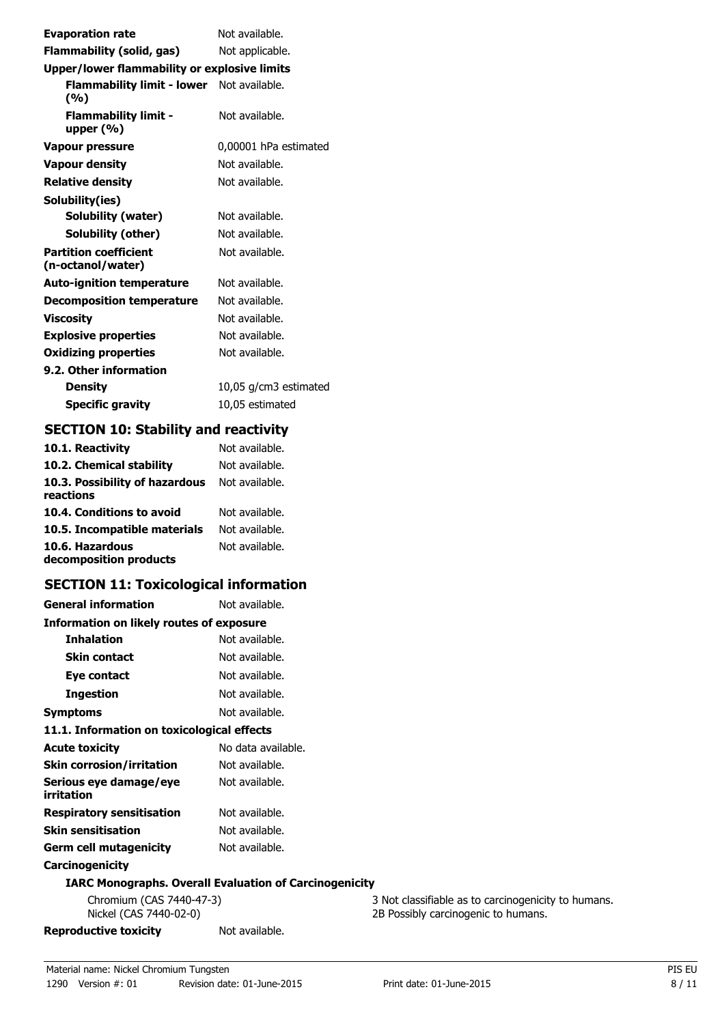| <b>Evaporation rate</b>                           | Not available.        |  |
|---------------------------------------------------|-----------------------|--|
| Flammability (solid, gas)                         | Not applicable.       |  |
| Upper/lower flammability or explosive limits      |                       |  |
| Flammability limit - lower Not available.<br>(%)  |                       |  |
| <b>Flammability limit -</b><br>upper $(%)$        | Not available.        |  |
| Vapour pressure                                   | 0,00001 hPa estimated |  |
| <b>Vapour density</b>                             | Not available.        |  |
| <b>Relative density</b>                           | Not available.        |  |
| Solubility(ies)                                   |                       |  |
| Solubility (water)                                | Not available.        |  |
| Solubility (other)                                | Not available.        |  |
| <b>Partition coefficient</b><br>(n-octanol/water) | Not available.        |  |
| <b>Auto-ignition temperature</b>                  | Not available.        |  |
| <b>Decomposition temperature</b>                  | Not available.        |  |
| <b>Viscosity</b>                                  | Not available.        |  |
| <b>Explosive properties</b>                       | Not available.        |  |
| <b>Oxidizing properties</b>                       | Not available.        |  |
| 9.2. Other information                            |                       |  |
| Density                                           | 10,05 g/cm3 estimated |  |
| <b>Specific gravity</b>                           | 10,05 estimated       |  |

# **SECTION 10: Stability and reactivity**

| 10.1. Reactivity                            | Not available. |
|---------------------------------------------|----------------|
| 10.2. Chemical stability                    | Not available. |
| 10.3. Possibility of hazardous<br>reactions | Not available. |
| 10.4. Conditions to avoid                   | Not available. |
| 10.5. Incompatible materials                | Not available. |
| 10.6. Hazardous<br>decomposition products   | Not available. |

# **SECTION 11: Toxicological information**

| <b>General information</b>                 | Not available.                                                |
|--------------------------------------------|---------------------------------------------------------------|
| Information on likely routes of exposure   |                                                               |
| <b>Inhalation</b>                          | Not available.                                                |
| <b>Skin contact</b>                        | Not available.                                                |
| Eye contact                                | Not available.                                                |
| Ingestion                                  | Not available.                                                |
| <b>Symptoms</b>                            | Not available.                                                |
| 11.1. Information on toxicological effects |                                                               |
| <b>Acute toxicity</b>                      | No data available.                                            |
| <b>Skin corrosion/irritation</b>           | Not available.                                                |
| Serious eye damage/eye<br>irritation       | Not available.                                                |
| <b>Respiratory sensitisation</b>           | Not available.                                                |
| <b>Skin sensitisation</b>                  | Not available.                                                |
| <b>Germ cell mutagenicity</b>              | Not available.                                                |
| Carcinogenicity                            |                                                               |
|                                            | <b>IARC Monographs. Overall Evaluation of Carcinogenicity</b> |
| Chromium (CAS 7440-47-3)                   | 3 N                                                           |

**Reproductive toxicity** Not available.

Chromium (CAS 7440-47-3) 3 Not classifiable as to carcinogenicity to humans.<br>Nickel (CAS 7440-02-0) 3 2B Possibly carcinogenic to humans. 2B Possibly carcinogenic to humans.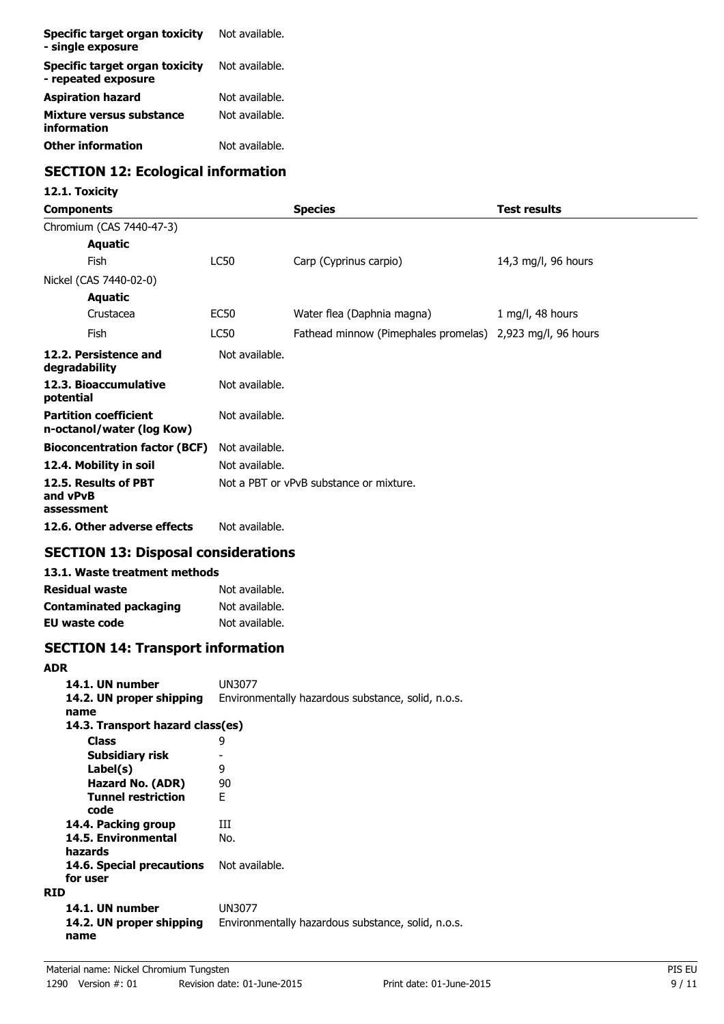| Specific target organ toxicity<br>- single exposure   | Not available. |
|-------------------------------------------------------|----------------|
| Specific target organ toxicity<br>- repeated exposure | Not available. |
| <b>Aspiration hazard</b>                              | Not available. |
| Mixture versus substance<br>information               | Not available. |
| <b>Other information</b>                              | Not available. |

# **SECTION 12: Ecological information**

# **12.1. Toxicity**

| Components                                                |                | <b>Species</b>                                            | <b>Test results</b> |
|-----------------------------------------------------------|----------------|-----------------------------------------------------------|---------------------|
| Chromium (CAS 7440-47-3)                                  |                |                                                           |                     |
| <b>Aquatic</b>                                            |                |                                                           |                     |
| <b>Fish</b>                                               | LC50           | Carp (Cyprinus carpio)                                    | 14,3 mg/l, 96 hours |
| Nickel (CAS 7440-02-0)                                    |                |                                                           |                     |
| <b>Aquatic</b>                                            |                |                                                           |                     |
| Crustacea                                                 | EC50           | Water flea (Daphnia magna)                                | 1 mg/l, 48 hours    |
| Fish                                                      | LC50           | Fathead minnow (Pimephales promelas) 2,923 mg/l, 96 hours |                     |
| 12.2. Persistence and<br>degradability                    | Not available. |                                                           |                     |
| 12.3. Bioaccumulative<br>potential                        | Not available. |                                                           |                     |
| <b>Partition coefficient</b><br>n-octanol/water (log Kow) | Not available. |                                                           |                     |
| <b>Bioconcentration factor (BCF)</b>                      | Not available. |                                                           |                     |
| 12.4. Mobility in soil                                    | Not available. |                                                           |                     |
| 12.5. Results of PBT<br>and vPvB<br>assessment            |                | Not a PBT or vPvB substance or mixture.                   |                     |
| 12.6. Other adverse effects                               | Not available. |                                                           |                     |
| CECTION 12. Disposal considerations                       |                |                                                           |                     |

## **SECTION 13: Disposal considerations**

# **13.1. Waste treatment methods**

| Residual waste         | Not available. |
|------------------------|----------------|
| Contaminated packaging | Not available. |
| EU waste code          | Not available. |

# **SECTION 14: Transport information**

#### **ADR**

| 14.1. UN number                       | UN3077                                             |
|---------------------------------------|----------------------------------------------------|
| 14.2. UN proper shipping<br>name      | Environmentally hazardous substance, solid, n.o.s. |
| 14.3. Transport hazard class(es)      |                                                    |
| <b>Class</b>                          | 9                                                  |
| <b>Subsidiary risk</b>                |                                                    |
| Label(s)                              | 9                                                  |
| Hazard No. (ADR)                      | 90                                                 |
| <b>Tunnel restriction</b><br>code     | F                                                  |
| 14.4. Packing group                   | Ш                                                  |
| 14.5. Environmental<br>hazards        | No.                                                |
| 14.6. Special precautions<br>for user | Not available.                                     |
| <b>RID</b>                            |                                                    |
| 14.1. UN number                       | UN3077                                             |
| 14.2. UN proper shipping<br>name      | Environmentally hazardous substance, solid, n.o.s. |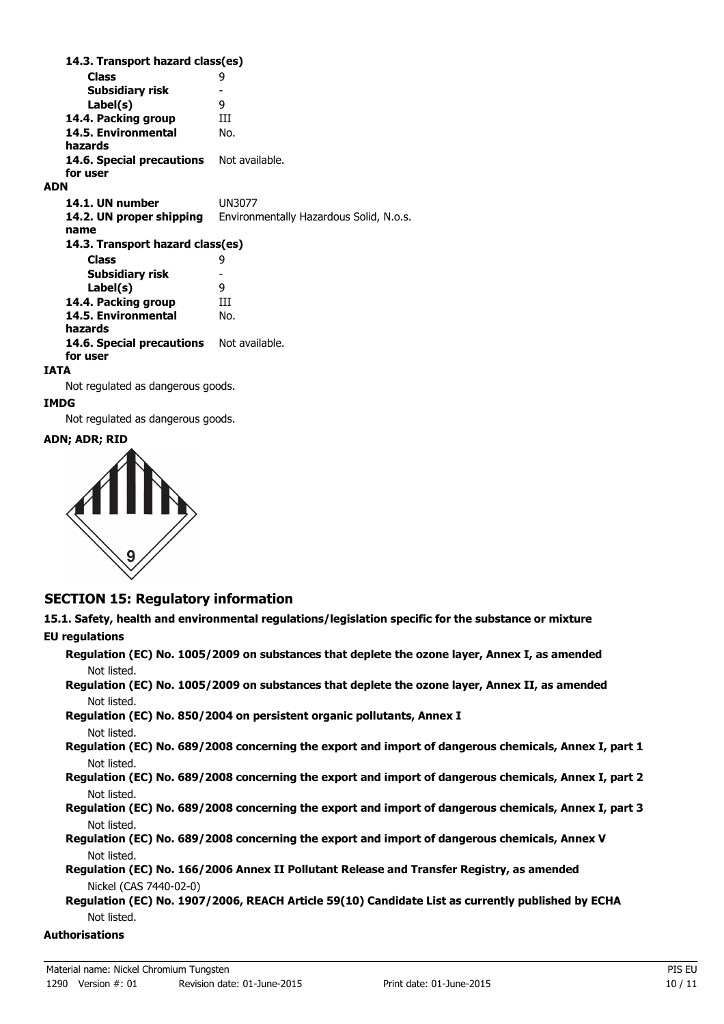**Class** 9 **14.3. Transport hazard class(es) Subsidiary risk** - Label(s) **14.4. Packing group III 14.5. Environmental** No. **hazards** 14.6. Special precautions Not available. **for user ADN 14.1. UN number** UN3077 **14.2. UN proper shipping** Environmentally Hazardous Solid, N.o.s. **name Class** 9 **14.3. Transport hazard class(es) Subsidiary risk** -<br>**Label(s)** 9 Label(s) 14.4. Packing group **III 14.5. Environmental** No. **hazards** 14.6. Special precautions Not available. **for user**

#### **IATA**

Not regulated as dangerous goods.

#### **IMDG**

Not regulated as dangerous goods.

#### **ADN; ADR; RID**



### **SECTION 15: Regulatory information**

**15.1. Safety, health and environmental regulations/legislation specific for the substance or mixture EU regulations**

**Regulation (EC) No. 1005/2009 on substances that deplete the ozone layer, Annex I, as amended** Not listed.

**Regulation (EC) No. 1005/2009 on substances that deplete the ozone layer, Annex II, as amended** Not listed.

**Regulation (EC) No. 850/2004 on persistent organic pollutants, Annex I** Not listed.

**Regulation (EC) No. 689/2008 concerning the export and import of dangerous chemicals, Annex I, part 1** Not listed.

**Regulation (EC) No. 689/2008 concerning the export and import of dangerous chemicals, Annex I, part 2** Not listed.

**Regulation (EC) No. 689/2008 concerning the export and import of dangerous chemicals, Annex I, part 3** Not listed.

**Regulation (EC) No. 689/2008 concerning the export and import of dangerous chemicals, Annex V** Not listed.

**Regulation (EC) No. 166/2006 Annex II Pollutant Release and Transfer Registry, as amended** Nickel (CAS 7440-02-0)

**Regulation (EC) No. 1907/2006, REACH Article 59(10) Candidate List as currently published by ECHA** Not listed.

**Authorisations**